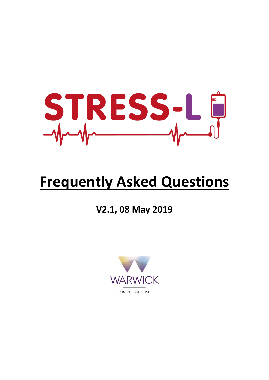

# **Frequently Asked Questions**

**V2.1, 08 May 2019**

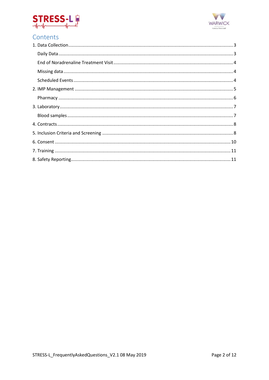



# Contents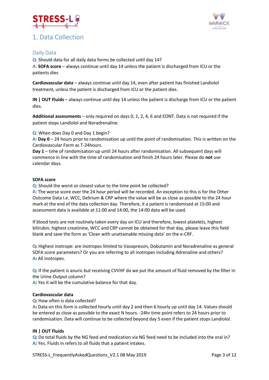

## <span id="page-2-0"></span>1. Data Collection



## <span id="page-2-1"></span>Daily Data

**Q:** Should data for all daily data forms be collected until day 14?

**A: SOFA score** – always continue until day 14 unless the patient is discharged from ICU or the patients dies

**Cardiovascular data** – always continue until day 14, even after patient has finished Landiolol treatment, unless the patient is discharged from ICU or the patient dies.

**IN | OUT Fluids** – always continue until day 14 unless the patient is discharge from ICU or the patient dies.

**Additional assessments** – only required on days 0, 1, 2, 4, 6 and EONT. Data is not required if the patient stops Landiolol and Noradrenaline.

**Q**: When does Day 0 and Day 1 begin?

**A**: **Day 0** – 24 hours prior to randomisation up until the point of randomisation. This is written on the Cardiovascular Form as T-24hours.

**Day 1** – time of randomisation up until 24 hours after randomisation. All subsequent days will commence in line with the time of randomisation and finish 24 hours later. Please do **not** use calendar days.

#### **SOFA score**

**Q:** Should the worst or closest value to the time point be collected?

**A:** The worse score over the 24 hour period will be recorded. An exception to this is for the Other Outcome Data i.e. WCC, Delirium & CRP where the value will be as close as possible to the 24 hour mark at the end of the data collection day. Therefore, it a patient is randomised at 15:00 and assessment data is available at 11:00 and 14:00, the 14:00 data will be used.

If blood tests are not routinely taken every day on ICU and therefore, lowest platelets, highest bilirubin, highest creatinine, WCC and CRP cannot be obtained for that day, please leave this field blank and save the form as 'Clean with unattainable missing data' on the e-CRF.

**Q:** Highest inotrope: are inotropes limited to Vasopressin, Dobutamin and Noradrenaline as general SOFA score parameters? Or you are referring to all inotropes including Adrenaline and others? **A:** All inotropes.

**Q:** If the patient is anuric but receiving CVVHF do we put the amount of fluid removed by the filter in the Urine Output column?

**A:** Yes it will be the cumulative balance for that day.

#### **Cardiovascular data**

#### **Q:** How often is data collected?

**A:** Data on this form is collected hourly until day 2 and then 6 hourly up until day 14. Values should be entered as close as possible to the exact N hours. -24hr time point refers to 24 hours prior to randomisation. Data will continue to be collected beyond day 5 even if the patient stops Landiolol.

#### **IN | OUT Fluids**

**Q:** Do total fluids by the NG feed and medication via NG feed need to be included into the oral in? **A:** Yes. Fluids in refers to all fluids that a patient intakes.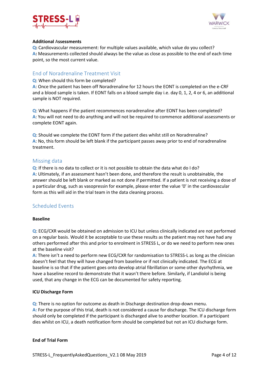



#### **Additional** A**ssessments**

**Q:** Cardiovascular measurement: for multiple values available, which value do you collect? **A:** Measurements collected should always be the value as close as possible to the end of each time point, so the most current value.

#### <span id="page-3-0"></span>End of Noradrenaline Treatment Visit

**Q**: When should this form be completed?

**A**: Once the patient has been off Noradrenaline for 12 hours the EONT is completed on the e-CRF and a blood sample is taken. If EONT falls on a blood sample day i.e. day 0, 1, 2, 4 or 6, an additional sample is NOT required.

**Q**: What happens if the patient recommences noradrenaline after EONT has been completed? **A**: You will not need to do anything and will not be required to commence additional assessments or complete EONT again.

**Q**: Should we complete the EONT form if the patient dies whilst still on Noradrenaline? **A**: No, this form should be left blank if the participant passes away prior to end of noradrenaline treatment.

#### <span id="page-3-1"></span>Missing data

**Q**: If there is no data to collect or it is not possible to obtain the data what do I do? **A**: Ultimately, if an assessment hasn't been done, and therefore the result is unobtainable, the answer should be left blank or marked as not done if permitted. If a patient is not receiving a dose of a particular drug, such as vasopressin for example, please enter the value '0' in the cardiovascular form as this will aid in the trial team in the data cleaning process.

#### <span id="page-3-2"></span>Scheduled Events

#### **Baseline**

**Q**: ECG/CXR would be obtained on admission to ICU but unless clinically indicated are not performed on a regular basis. Would it be acceptable to use these results as the patient may not have had any others performed after this and prior to enrolment in STRESS L, or do we need to perform new ones at the baseline visit?

**A**: There isn't a need to perform new ECG/CXR for randomisation to STRESS-L as long as the clinician doesn't feel that they will have changed from baseline or if not clinically indicated. The ECG at baseline is so that if the patient goes onto develop atrial fibrillation or some other dysrhythmia, we have a baseline record to demonstrate that it wasn't there before. Similarly, if Landiolol is being used, that any change in the ECG can be documented for safety reporting.

#### **ICU Discharge Form**

**Q**: There is no option for outcome as death in Discharge destination drop-down menu. **A:** For the purpose of this trial, death is not considered a cause for discharge. The ICU discharge form should only be completed if the participant is discharged alive to another location. If a participant dies whilst on ICU, a death notification form should be completed but not an ICU discharge form.

#### **End of Trial Form**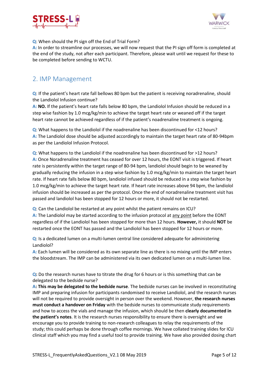



#### **Q**: When should the PI sign off the End of Trial Form?

**A:** In order to streamline our processes, we will now request that the PI sign off form is completed at the end of the study, not after each participant. Therefore, please wait until we request for these to be completed before sending to WCTU.

## <span id="page-4-0"></span>2. IMP Management

**Q**: If the patient's heart rate fall bellows 80 bpm but the patient is receiving noradrenaline, should the Landiolol Infusion continue?

**A: NO.** If the patient's heart rate falls below 80 bpm, the Landiolol Infusion should be reduced in a step wise fashion by 1.0 mcg/kg/min to achieve the target heart rate or weaned off if the target heart rate cannot be achieved regardless of if the patient's noadrenaline treatment is ongoing.

**Q**: What happens to the Landiolol if the noadrenaline has been discontinued for <12 hours? **A:** The Landiolol dose should be adjusted accordingly to maintain the target heart rate of 80-94bpm as per the Landiolol Infusion Protocol.

**Q**: What happens to the Landiolol if the noadrenaline has been discontinued for >12 hours? **A:** Once Noradrenaline treatment has ceased for over 12 hours, the EONT visit is triggered. If heart rate is persistently within the target range of 80-94 bpm, landiolol should begin to be weaned by gradually reducing the infusion in a step wise fashion by 1.0 mcg/kg/min to maintain the target heart rate. If heart rate falls below 80 bpm, landiolol infused should be reduced in a step wise fashion by 1.0 mcg/kg/min to achieve the target heart rate. If heart rate increases above 94 bpm, the landiolol infusion should be increased as per the protocol. Once the end of noradrenaline treatment visit has passed and landiolol has been stopped for 12 hours or more, it should not be restarted.

**Q**: Can the Landiolol be restarted at any point whilst the patient remains on ICU? **A:** The Landiolol may be started according to the infusion protocol at any point before the EONT regardless of if the Landiolol has been stopped for more than 12 hours. **However,** it should **NOT** be restarted once the EONT has passed and the Landiolol has been stopped for 12 hours or more.

**Q**: Is a dedicated lumen on a multi-lumen central line considered adequate for administering Landiolol?

**A:** Each lumen will be considered as its own separate line as there is no mixing until the IMP enters the bloodstream. The IMP can be administered via its own dedicated lumen on a multi-lumen line.

**Q:** Do the research nurses have to titrate the drug for 6 hours or is this something that can be delegated to the bedside nurse?

**A: This may be delegated to the bedside nurse**. The bedside nurses can be involved in reconstituting IMP and preparing infusion for participants randomised to receive Landiolol, and the research nurses will not be required to provide oversight in person over the weekend. However, **the research nurses must conduct a handover on Friday** with the bedside nurses to communicate study requirements and how to access the vials and manage the infusion, which should be then **clearly documented in the patient's notes**. It is the research nurses responsibility to ensure there is oversight and we encourage you to provide training to non-research colleagues to relay the requirements of the study; this could perhaps be done through coffee mornings. We have collated training slides for ICU clinical staff which you may find a useful tool to provide training. We have also provided dosing chart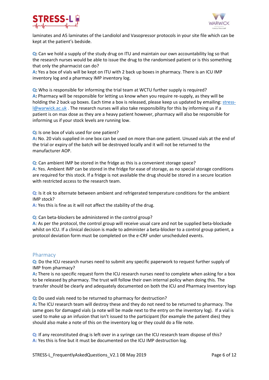



laminates and A5 laminates of the Landiolol and Vasopressor protocols in your site file which can be kept at the patient's bedside.

**Q:** Can we hold a supply of the study drug on ITU and maintain our own accountability log so that the research nurses would be able to issue the drug to the randomised patient or is this something that only the pharmacist can do?

**A:** Yes a box of vials will be kept on ITU with 2 back up boxes in pharmacy. There is an ICU IMP inventory log and a pharmacy IMP inventory log.

**Q:** Who is responsible for informing the trial team at WCTU further supply is required? **A:** Pharmacy will be responsible for letting us know when you require re-supply, as they will be holding the 2 back up boxes. Each time a box is released, please keep us updated by emailing[: stress](mailto:stress-l@warwick.ac.uk)[l@warwick.ac.uk](mailto:stress-l@warwick.ac.uk) . The research nurses will also take responsibility for this by informing us if a patient is on max dose as they are a heavy patient however, pharmacy will also be responsible for informing us if your stock levels are running low.

**Q:** Is one box of vials used for one patient?

**A:** No. 20 vials supplied in one box can be used on more than one patient. Unused vials at the end of the trial or expiry of the batch will be destroyed locally and it will not be returned to the manufacturer AOP.

**Q**: Can ambient IMP be stored in the fridge as this is a convenient storage space? **A**: Yes. Ambient IMP can be stored in the fridge for ease of storage, as no special storage conditions are required for this stock. If a fridge is not available the drug should be stored in a secure location with restricted access to the research team.

**Q:** Is it ok to alternate between ambient and refrigerated temperature conditions for the ambient IMP stock?

**A:** Yes this is fine as it will not affect the stability of the drug.

**Q**: Can beta-blockers be administered in the control group?

**A**: As per the protocol, the control group will receive usual care and not be supplied beta-blockade whilst on ICU. If a clinical decision is made to administer a beta-blocker to a control group patient, a protocol deviation form must be completed on the e-CRF under unscheduled events.

#### <span id="page-5-0"></span>Pharmacy

**Q:** Do the ICU research nurses need to submit any specific paperwork to request further supply of IMP from pharmacy?

**A:** There is no specific request form the ICU research nurses need to complete when asking for a box to be released by pharmacy. The trust will follow their own internal policy when doing this. The transfer should be clearly and adequately documented on both the ICU and Pharmacy Inventory logs

**Q:** Do used vials need to be returned to pharmacy for destruction?

**A:** The ICU research team will destroy these and they do not need to be returned to pharmacy. The same goes for damaged vials (a note will be made next to the entry on the inventory log). If a vial is used to make up an infusion that isn't issued to the participant (for example the patient dies) they should also make a note of this on the inventory log or they could do a file note.

**Q:** If any reconstituted drug is left over in a syringe can the ICU research team dispose of this? **A:** Yes this is fine but it must be documented on the ICU IMP destruction log.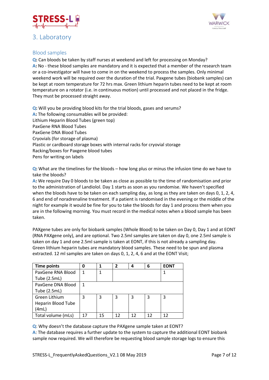

## <span id="page-6-0"></span>3. Laboratory



### <span id="page-6-1"></span>Blood samples

**Q:** Can bloods be taken by staff nurses at weekend and left for processing on Monday? **A:** No - these blood samples are mandatory and it is expected that a member of the research team or a co-investigator will have to come in on the weekend to process the samples. Only minimal weekend work will be required over the duration of the trial. Paxgene tubes (biobank samples) can be kept at room temperature for 72 hrs max. Green lithium heparin tubes need to be kept at room temperature on a rotator (i.e. in continuous motion) until processed and not placed in the fridge. They must be processed straight away.

**Q:** Will you be providing blood kits for the trial bloods, gases and serums? A: The following consumables will be provided: Lithium Heparin Blood Tubes (green top) PaxGene RNA Blood Tubes PaxGene DNA Blood Tubes Cryovials (for storage of plasma) Plastic or cardboard storage boxes with internal racks for cryovial storage Racking/boxes for Paxgene blood tubes Pens for writing on labels

**Q:** What are the timelines for the bloods – how long plus or minus the infusion time do we have to take the bloods?

**A:** We require Day 0 bloods to be taken as close as possible to the time of randomisation and prior to the administration of Landiolol. Day 1 starts as soon as you randomise. We haven't specified when the bloods have to be taken on each sampling day, as long as they are taken on days 0, 1, 2, 4, 6 and end of noradrenaline treatment. If a patient is randomised in the evening or the middle of the night for example it would be fine for you to take the bloods for day 1 and process them when you are in the following morning. You must record in the medical notes when a blood sample has been taken.

PAXgene tubes are only for biobank samples (Whole Blood) to be taken on Day 0, Day 1 and at EONT (RNA PAXgene only), and are optional. Two 2.5ml samples are taken on day 0, one 2.5ml sample is taken on day 1 and one 2.5ml sample is taken at EONT, if this is not already a sampling day. Green lithium heparin tubes are mandatory blood samples. These need to be spun and plasma extracted. 12 ml samples are taken on days 0, 1, 2, 4, 6 and at the EONT Visit;

| <b>Time points</b>        | 0  |    | $\overline{2}$ | 4  | 6  | <b>EONT</b> |
|---------------------------|----|----|----------------|----|----|-------------|
| PaxGene RNA Blood         | 1  |    |                |    |    |             |
| Tube (2.5mL)              |    |    |                |    |    |             |
| PaxGene DNA Blood         | 1  |    |                |    |    |             |
| Tube (2.5mL)              |    |    |                |    |    |             |
| Green Lithium             | 3  | 3  | 3              | 3  | 3  | 3           |
| <b>Heparin Blood Tube</b> |    |    |                |    |    |             |
| (4mL)                     |    |    |                |    |    |             |
| Total volume (mLs)        | 17 | 15 | 12             | 12 | 12 | 12          |

**Q**: Why doesn't the database capture the PAXgene sample taken at EONT?

**A**: The database requires a further update to the system to capture the additional EONT biobank sample now required. We will therefore be requesting blood sample storage logs to ensure this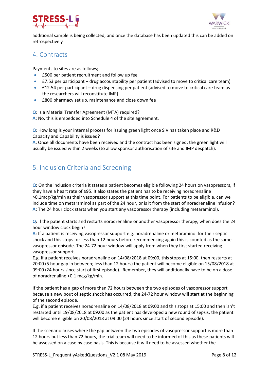



additional sample is being collected, and once the database has been updated this can be added on retrospectively

## <span id="page-7-0"></span>4. Contracts

Payments to sites are as follows;

- £500 per patient recruitment and follow up fee
- **£7.53** per participant drug accountability per patient (advised to move to critical care team)
- £12.54 per participant drug dispensing per patient (advised to move to critical care team as the researchers will reconstitute IMP)
- £800 pharmacy set up, maintenance and close down fee

**Q**: Is a Material Transfer Agreement (MTA) required?

**A**: No, this is embedded into Schedule 4 of the site agreement.

**Q**: How long is your internal process for issuing green light once SIV has taken place and R&D Capacity and Capability is issued?

**A**: Once all documents have been received and the contract has been signed, the green light will usually be issued within 2 weeks (to allow sponsor authorisation of site and IMP despatch).

# <span id="page-7-1"></span>5. Inclusion Criteria and Screening

**Q:** On the inclusion criteria it states a patient becomes eligible following 24 hours on vasopressors, if they have a heart rate of ≥95. It also states the patient has to be receiving noradrenaline >0.1mcg/kg/min as their vasopressor support at this time point. For patients to be eligible, can we include time on metaraminol as part of the 24 hour, or is it from the start of noradrenaline infusion? **A:** The 24 hour clock starts when you start any vasopressor therapy (including metaraminol).

**Q:** If the patient starts and restarts noradrenaline or another vasopressor therapy, when does the 24 hour window clock begin?

**A**: If a patient is receiving vasopressor support e.g. noradrenaline or metaraminol for their septic shock and this stops for less than 12 hours before recommencing again this is counted as the same vasopressor episode. The 24-72 hour window will apply from when they first started receiving vasopressor support.

E.g. if a patient receives noradrenaline on 14/08/2018 at 09:00, this stops at 15:00, then restarts at 20:00 (5 hour gap in between; less than 12 hours) the patient will become eligible on 15/08/2018 at 09:00 (24 hours since start of first episode). Remember, they will additionally have to be on a dose of noradrenaline >0.1 mcg/kg/min.

If the patient has a gap of more than 72 hours between the two episodes of vasopressor support because a new bout of septic shock has occurred, the 24-72 hour window will start at the beginning of the second episode.

E.g. if a patient receives noradrenaline on 14/08/2018 at 09:00 and this stops at 15:00 and then isn't restarted until 19/08/2018 at 09:00 as the patient has developed a new round of sepsis, the patient will become eligible on 20/08/2018 at 09:00 (24 hours since start of second episode).

If the scenario arises where the gap between the two episodes of vasopressor support is more than 12 hours but less than 72 hours, the trial team will need to be informed of this as these patients will be assessed on a case by case basis. This is because it will need to be assessed whether the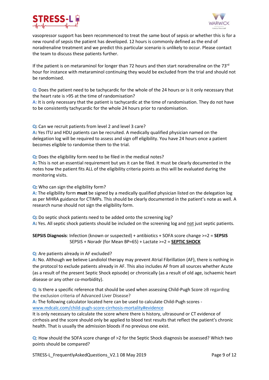



vasopressor support has been recommenced to treat the same bout of sepsis or whether this is for a new round of sepsis the patient has developed. 12 hours is commonly defined as the end of noradrenaline treatment and we predict this particular scenario is unlikely to occur. Please contact the team to discuss these patients further.

If the patient is on metaraminol for longer than 72 hours and then start noradrenaline on the 73 $^{rd}$ hour for instance with metaraminol continuing they would be excluded from the trial and should not be randomised.

**Q:** Does the patient need to be tachycardic for the whole of the 24 hours or is it only necessary that the heart rate is >95 at the time of randomisation?

**A:** It is only necessary that the patient is tachycardic at the time of randomisation. They do not have to be consistently tachycardic for the whole 24 hours prior to randomisation.

**Q:** Can we recruit patients from level 2 and level 3 care?

**A:** Yes ITU and HDU patients can be recruited. A medically qualified physician named on the delegation log will be required to assess and sign off eligibility. You have 24 hours once a patient becomes eligible to randomise them to the trial.

**Q:** Does the eligibility form need to be filed in the medical notes?

**A:** This is not an essential requirement but yes it can be filed. It must be clearly documented in the notes how the patient fits ALL of the eligibility criteria points as this will be evaluated during the monitoring visits.

**Q:** Who can sign the eligibility form?

**A:** The eligibility form **must** be signed by a medically qualified physician listed on the delegation log as per MHRA guidance for CTIMPs. This should be clearly documented in the patient's note as well. A research nurse should not sign the eligibility form.

**Q:** Do septic shock patients need to be added onto the screening log?

**A:** Yes. All septic shock patients should be included on the screening log and not just septic patients.

**SEPSIS Diagnosis**: Infection (known or suspected) + antibiotics + SOFA score change >=2 = **SEPSIS** SEPSIS + Noradr (for Mean BP=65) + Lactate >=2 = **SEPTIC SHOCK**

**Q**: Are patients already in AF excluded?

**A**: No. Although we believe Landiolol therapy may prevent Atrial Fibrillation (AF), there is nothing in the protocol to exclude patients already in AF. This also includes AF from all sources whether Acute (as a result of the present Septic Shock episode) or chronically (as a result of old age, ischaemic heart disease or any other co-morbidity).

**Q**: Is there a specific reference that should be used when assessing Child-Pugh Score ≥B regarding the exclusion criteria of Advanced Liver Disease?

**A:** The following calculator located here can be used to calculate Child-Pugh scores [www.mdcalc.com/child-pugh-score-cirrhosis-mortality#evidence](http://www.mdcalc.com/child-pugh-score-cirrhosis-mortality#evidence)

It is only necessary to calculate the score where there is history, ultrasound or CT evidence of cirrhosis and the score should only be applied to blood test results that reflect the patient's chronic health. That is usually the admission bloods if no previous one exist.

**Q**: How should the SOFA score change of >2 for the Septic Shock diagnosis be assessed? Which two points should be compared?

STRESS-L\_FrequentlyAskedQuestions\_V2.1 08 May 2019 Page 9 of 12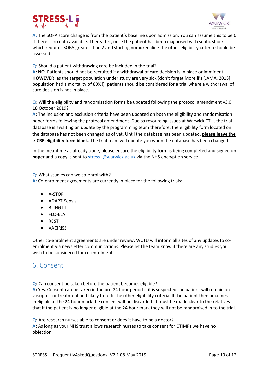



**A:** The SOFA score change is from the patient's baseline upon admission. You can assume this to be 0 if there is no data available. Thereafter, once the patient has been diagnosed with septic shock which requires SOFA greater than 2 and starting noradrenaline the other eligibility criteria should be assessed.

**Q**: Should a patient withdrawing care be included in the trial?

**A**: **NO.** Patients should not be recruited if a withdrawal of care decision is in place or imminent. **HOWEVER**, as the target population under study are very sick (don't forget Morelli's [JAMA, 2013] population had a mortality of 80%!), patients should be considered for a trial where a withdrawal of care decision is not in place.

**Q**: Will the eligibility and randomisation forms be updated following the protocol amendment v3.0 18 October 2019?

**A**: The inclusion and exclusion criteria have been updated on both the eligibility and randomisation paper forms following the protocol amendment. Due to resourcing issues at Warwick CTU, the trial database is awaiting an update by the programming team therefore, the eligibility form located on the database has not been changed as of yet. Until the database has been updated, **please leave the e-CRF eligibility form blank**. The trial team will update you when the database has been changed.

In the meantime as already done, please ensure the eligibility form is being completed and signed on **paper** and a copy is sent to [stress-l@warwick.ac.uk](mailto:stress-l@warwick.ac.uk) via the NHS encryption service.

**Q**: What studies can we co-enrol with?

**A:** Co-enrolment agreements are currently in place for the following trials:

- A-STOP
- ADAPT-Sepsis
- **•** BLING III
- FLO-ELA
- REST
- **• VACIRISS**

Other co-enrolment agreements are under review. WCTU will inform all sites of any updates to coenrolment via newsletter communications. Please let the team know if there are any studies you wish to be considered for co-enrolment.

## <span id="page-9-0"></span>6. Consent

**Q:** Can consent be taken before the patient becomes eligible?

**A:** Yes. Consent can be taken in the pre-24 hour period if it is suspected the patient will remain on vasopressor treatment and likely to fulfil the other eligibility criteria. If the patient then becomes ineligible at the 24 hour mark the consent will be discarded. It must be made clear to the relatives that if the patient is no longer eligible at the 24 hour mark they will not be randomised in to the trial.

**Q:** Are research nurses able to consent or does it have to be a doctor? **A:** As long as your NHS trust allows research nurses to take consent for CTIMPs we have no objection.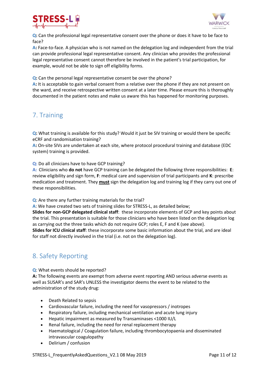



**Q:** Can the professional legal representative consent over the phone or does it have to be face to face?

**A:** Face-to-face. A physician who is not named on the delegation log and independent from the trial can provide professional legal representative consent. Any clinician who provides the professional legal representative consent cannot therefore be involved in the patient's trial participation, for example, would not be able to sign off eligibility forms.

**Q:** Can the personal legal representative consent be over the phone?

**A:** It is acceptable to gain verbal consent from a relative over the phone if they are not present on the ward, and receive retrospective written consent at a later time. Please ensure this is thoroughly documented in the patient notes and make us aware this has happened for monitoring purposes.

## <span id="page-10-0"></span>7. Training

**Q:** What training is available for this study? Would it just be SIV training or would there be specific eCRF and randomisation training?

**A:** On-site SIVs are undertaken at each site, where protocol procedural training and database (EDC system) training is provided.

**Q:** Do all clinicians have to have GCP training?

**A:** Clinicians who **do not** have GCP training can be delegated the following three responsibilities: **E**: review eligibility and sign form, **F**: medical care and supervision of trial participants and **K**: prescribe medication and treatment. They **must** sign the delegation log and training log if they carry out one of these responsibilities.

**Q**: Are there any further training materials for the trial?

**A**: We have created two sets of training slides for STRESS-L, as detailed below;

**Slides for non-GCP delegated clinical staff**: these incorporate elements of GCP and key points about the trial. This presentation is suitable for those clinicians who have been listed on the delegation log as carrying out the three tasks which do not require GCP; roles E, F and K (see above). **Slides for ICU clinical staff**: these incorporate some basic information about the trial, and are ideal for staff not directly involved in the trial (i.e. not on the delegation log).

## <span id="page-10-1"></span>8. Safety Reporting

**Q**: What events should be reported?

**A:** The following events are exempt from adverse event reporting AND serious adverse events as well as SUSAR's and SAR's UNLESS the investigator deems the event to be related to the administration of the study drug:

- Death Related to sepsis
- Cardiovascular failure, including the need for vasopressors / inotropes
- Respiratory failure, including mechanical ventilation and acute lung injury
- Hepatic impairment as measured by Transaminases <1000 IU/L
- Renal failure, including the need for renal replacement therapy
- Haematological / Coagulation failure, including thrombocytopaenia and disseminated intravascular coagulopathy
- Delirium / confusion